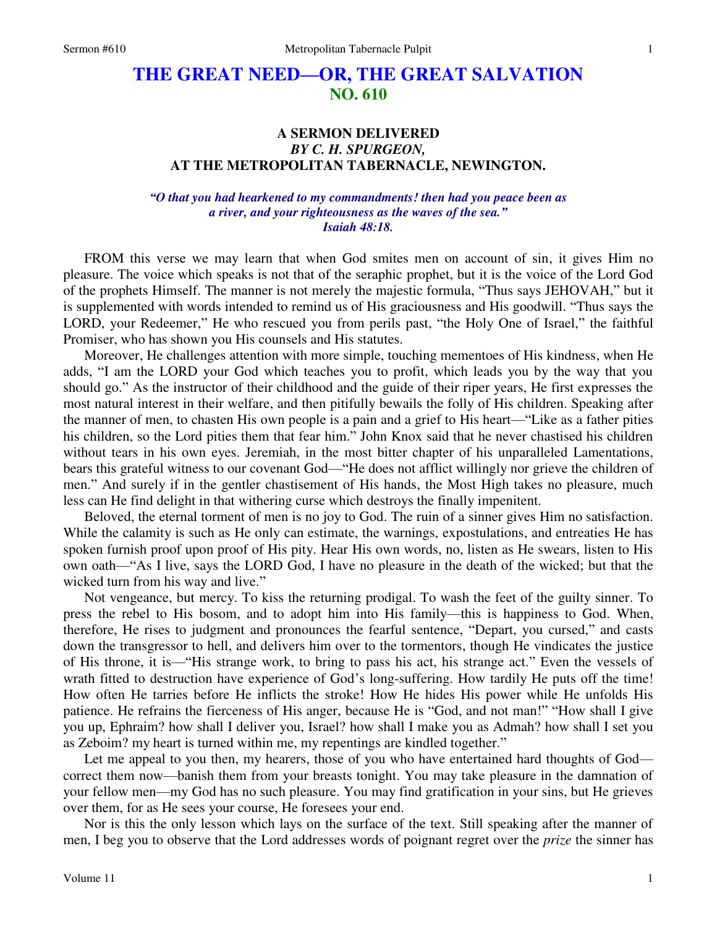# **THE GREAT NEED—OR, THE GREAT SALVATION NO. 610**

# **A SERMON DELIVERED**  *BY C. H. SPURGEON,*  **AT THE METROPOLITAN TABERNACLE, NEWINGTON.**

*"O that you had hearkened to my commandments! then had you peace been as a river, and your righteousness as the waves of the sea." Isaiah 48:18.* 

 FROM this verse we may learn that when God smites men on account of sin, it gives Him no pleasure. The voice which speaks is not that of the seraphic prophet, but it is the voice of the Lord God of the prophets Himself. The manner is not merely the majestic formula, "Thus says JEHOVAH," but it is supplemented with words intended to remind us of His graciousness and His goodwill. "Thus says the LORD, your Redeemer," He who rescued you from perils past, "the Holy One of Israel," the faithful Promiser, who has shown you His counsels and His statutes.

 Moreover, He challenges attention with more simple, touching mementoes of His kindness, when He adds, "I am the LORD your God which teaches you to profit, which leads you by the way that you should go." As the instructor of their childhood and the guide of their riper years, He first expresses the most natural interest in their welfare, and then pitifully bewails the folly of His children. Speaking after the manner of men, to chasten His own people is a pain and a grief to His heart—"Like as a father pities his children, so the Lord pities them that fear him." John Knox said that he never chastised his children without tears in his own eyes. Jeremiah, in the most bitter chapter of his unparalleled Lamentations, bears this grateful witness to our covenant God—"He does not afflict willingly nor grieve the children of men." And surely if in the gentler chastisement of His hands, the Most High takes no pleasure, much less can He find delight in that withering curse which destroys the finally impenitent.

Beloved, the eternal torment of men is no joy to God. The ruin of a sinner gives Him no satisfaction. While the calamity is such as He only can estimate, the warnings, expostulations, and entreaties He has spoken furnish proof upon proof of His pity. Hear His own words, no, listen as He swears, listen to His own oath—"As I live, says the LORD God, I have no pleasure in the death of the wicked; but that the wicked turn from his way and live."

Not vengeance, but mercy. To kiss the returning prodigal. To wash the feet of the guilty sinner. To press the rebel to His bosom, and to adopt him into His family—this is happiness to God. When, therefore, He rises to judgment and pronounces the fearful sentence, "Depart, you cursed," and casts down the transgressor to hell, and delivers him over to the tormentors, though He vindicates the justice of His throne, it is—"His strange work, to bring to pass his act, his strange act." Even the vessels of wrath fitted to destruction have experience of God's long-suffering. How tardily He puts off the time! How often He tarries before He inflicts the stroke! How He hides His power while He unfolds His patience. He refrains the fierceness of His anger, because He is "God, and not man!" "How shall I give you up, Ephraim? how shall I deliver you, Israel? how shall I make you as Admah? how shall I set you as Zeboim? my heart is turned within me, my repentings are kindled together."

 Let me appeal to you then, my hearers, those of you who have entertained hard thoughts of God correct them now—banish them from your breasts tonight. You may take pleasure in the damnation of your fellow men—my God has no such pleasure. You may find gratification in your sins, but He grieves over them, for as He sees your course, He foresees your end.

Nor is this the only lesson which lays on the surface of the text. Still speaking after the manner of men, I beg you to observe that the Lord addresses words of poignant regret over the *prize* the sinner has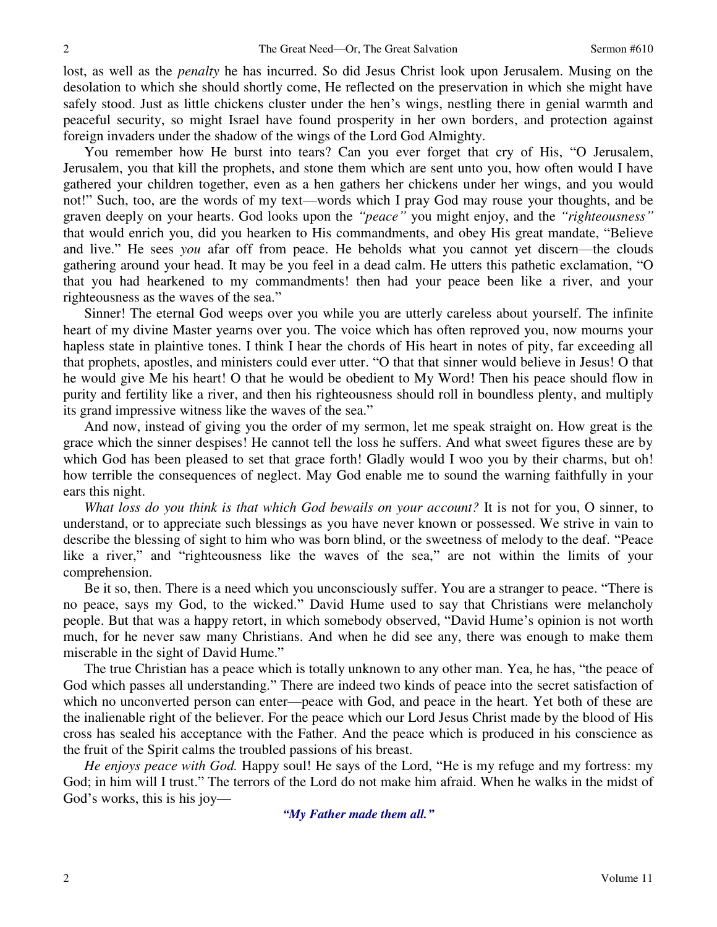lost, as well as the *penalty* he has incurred. So did Jesus Christ look upon Jerusalem. Musing on the desolation to which she should shortly come, He reflected on the preservation in which she might have safely stood. Just as little chickens cluster under the hen's wings, nestling there in genial warmth and peaceful security, so might Israel have found prosperity in her own borders, and protection against foreign invaders under the shadow of the wings of the Lord God Almighty.

You remember how He burst into tears? Can you ever forget that cry of His, "O Jerusalem, Jerusalem, you that kill the prophets, and stone them which are sent unto you, how often would I have gathered your children together, even as a hen gathers her chickens under her wings, and you would not!" Such, too, are the words of my text—words which I pray God may rouse your thoughts, and be graven deeply on your hearts. God looks upon the *"peace"* you might enjoy, and the *"righteousness"* that would enrich you, did you hearken to His commandments, and obey His great mandate, "Believe and live." He sees *you* afar off from peace. He beholds what you cannot yet discern—the clouds gathering around your head. It may be you feel in a dead calm. He utters this pathetic exclamation, "O that you had hearkened to my commandments! then had your peace been like a river, and your righteousness as the waves of the sea."

 Sinner! The eternal God weeps over you while you are utterly careless about yourself. The infinite heart of my divine Master yearns over you. The voice which has often reproved you, now mourns your hapless state in plaintive tones. I think I hear the chords of His heart in notes of pity, far exceeding all that prophets, apostles, and ministers could ever utter. "O that that sinner would believe in Jesus! O that he would give Me his heart! O that he would be obedient to My Word! Then his peace should flow in purity and fertility like a river, and then his righteousness should roll in boundless plenty, and multiply its grand impressive witness like the waves of the sea."

 And now, instead of giving you the order of my sermon, let me speak straight on. How great is the grace which the sinner despises! He cannot tell the loss he suffers. And what sweet figures these are by which God has been pleased to set that grace forth! Gladly would I woo you by their charms, but oh! how terrible the consequences of neglect. May God enable me to sound the warning faithfully in your ears this night.

*What loss do you think is that which God bewails on your account?* It is not for you, O sinner, to understand, or to appreciate such blessings as you have never known or possessed. We strive in vain to describe the blessing of sight to him who was born blind, or the sweetness of melody to the deaf. "Peace like a river," and "righteousness like the waves of the sea," are not within the limits of your comprehension.

Be it so, then. There is a need which you unconsciously suffer. You are a stranger to peace. "There is no peace, says my God, to the wicked." David Hume used to say that Christians were melancholy people. But that was a happy retort, in which somebody observed, "David Hume's opinion is not worth much, for he never saw many Christians. And when he did see any, there was enough to make them miserable in the sight of David Hume."

The true Christian has a peace which is totally unknown to any other man. Yea, he has, "the peace of God which passes all understanding." There are indeed two kinds of peace into the secret satisfaction of which no unconverted person can enter—peace with God, and peace in the heart. Yet both of these are the inalienable right of the believer. For the peace which our Lord Jesus Christ made by the blood of His cross has sealed his acceptance with the Father. And the peace which is produced in his conscience as the fruit of the Spirit calms the troubled passions of his breast.

*He enjoys peace with God.* Happy soul! He says of the Lord, "He is my refuge and my fortress: my God; in him will I trust." The terrors of the Lord do not make him afraid. When he walks in the midst of God's works, this is his joy—

*"My Father made them all."*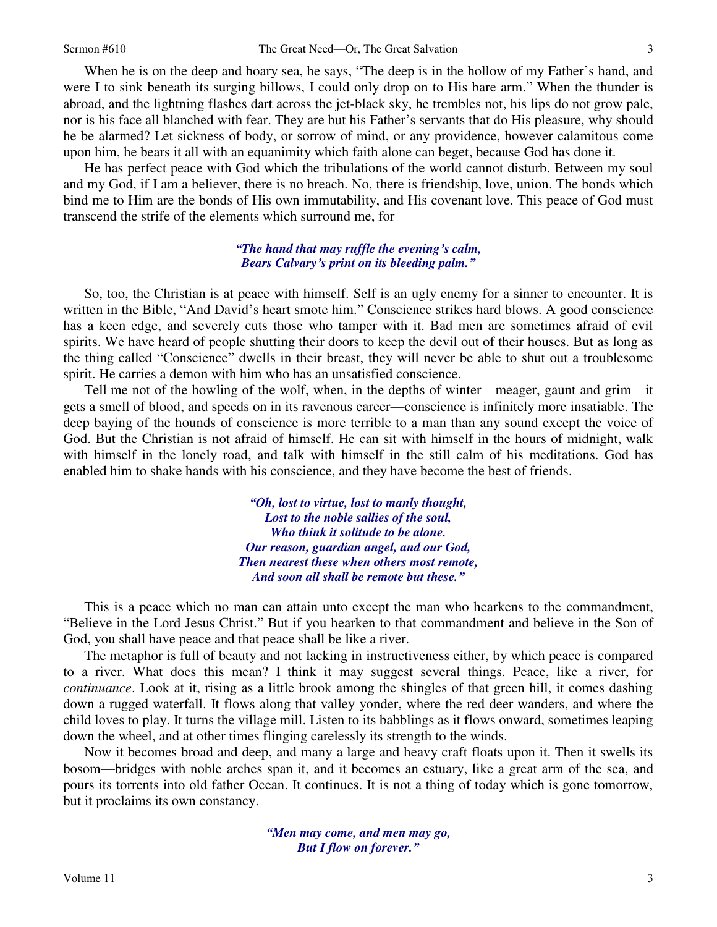When he is on the deep and hoary sea, he says, "The deep is in the hollow of my Father's hand, and were I to sink beneath its surging billows, I could only drop on to His bare arm." When the thunder is abroad, and the lightning flashes dart across the jet-black sky, he trembles not, his lips do not grow pale, nor is his face all blanched with fear. They are but his Father's servants that do His pleasure, why should he be alarmed? Let sickness of body, or sorrow of mind, or any providence, however calamitous come upon him, he bears it all with an equanimity which faith alone can beget, because God has done it.

 He has perfect peace with God which the tribulations of the world cannot disturb. Between my soul and my God, if I am a believer, there is no breach. No, there is friendship, love, union. The bonds which bind me to Him are the bonds of His own immutability, and His covenant love. This peace of God must transcend the strife of the elements which surround me, for

### *"The hand that may ruffle the evening's calm, Bears Calvary's print on its bleeding palm."*

So, too, the Christian is at peace with himself. Self is an ugly enemy for a sinner to encounter. It is written in the Bible, "And David's heart smote him." Conscience strikes hard blows. A good conscience has a keen edge, and severely cuts those who tamper with it. Bad men are sometimes afraid of evil spirits. We have heard of people shutting their doors to keep the devil out of their houses. But as long as the thing called "Conscience" dwells in their breast, they will never be able to shut out a troublesome spirit. He carries a demon with him who has an unsatisfied conscience.

Tell me not of the howling of the wolf, when, in the depths of winter—meager, gaunt and grim—it gets a smell of blood, and speeds on in its ravenous career—conscience is infinitely more insatiable. The deep baying of the hounds of conscience is more terrible to a man than any sound except the voice of God. But the Christian is not afraid of himself. He can sit with himself in the hours of midnight, walk with himself in the lonely road, and talk with himself in the still calm of his meditations. God has enabled him to shake hands with his conscience, and they have become the best of friends.

> *"Oh, lost to virtue, lost to manly thought, Lost to the noble sallies of the soul, Who think it solitude to be alone. Our reason, guardian angel, and our God, Then nearest these when others most remote, And soon all shall be remote but these."*

This is a peace which no man can attain unto except the man who hearkens to the commandment, "Believe in the Lord Jesus Christ." But if you hearken to that commandment and believe in the Son of God, you shall have peace and that peace shall be like a river.

The metaphor is full of beauty and not lacking in instructiveness either, by which peace is compared to a river. What does this mean? I think it may suggest several things. Peace, like a river, for *continuance*. Look at it, rising as a little brook among the shingles of that green hill, it comes dashing down a rugged waterfall. It flows along that valley yonder, where the red deer wanders, and where the child loves to play. It turns the village mill. Listen to its babblings as it flows onward, sometimes leaping down the wheel, and at other times flinging carelessly its strength to the winds.

Now it becomes broad and deep, and many a large and heavy craft floats upon it. Then it swells its bosom—bridges with noble arches span it, and it becomes an estuary, like a great arm of the sea, and pours its torrents into old father Ocean. It continues. It is not a thing of today which is gone tomorrow, but it proclaims its own constancy.

> *"Men may come, and men may go, But I flow on forever."*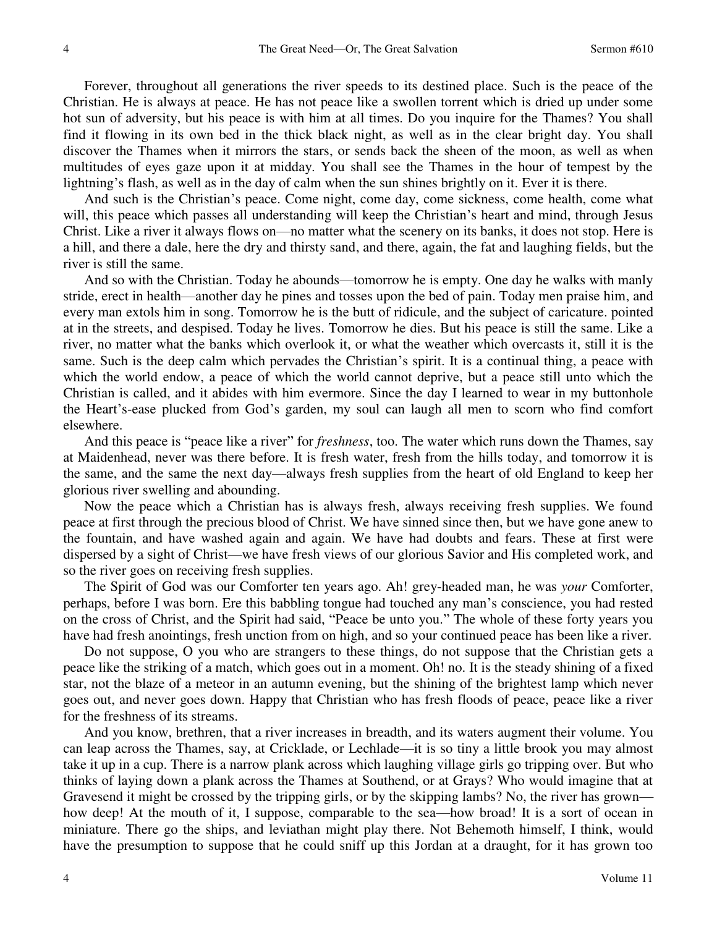Forever, throughout all generations the river speeds to its destined place. Such is the peace of the Christian. He is always at peace. He has not peace like a swollen torrent which is dried up under some hot sun of adversity, but his peace is with him at all times. Do you inquire for the Thames? You shall find it flowing in its own bed in the thick black night, as well as in the clear bright day. You shall discover the Thames when it mirrors the stars, or sends back the sheen of the moon, as well as when multitudes of eyes gaze upon it at midday. You shall see the Thames in the hour of tempest by the lightning's flash, as well as in the day of calm when the sun shines brightly on it. Ever it is there.

And such is the Christian's peace. Come night, come day, come sickness, come health, come what will, this peace which passes all understanding will keep the Christian's heart and mind, through Jesus Christ. Like a river it always flows on—no matter what the scenery on its banks, it does not stop. Here is a hill, and there a dale, here the dry and thirsty sand, and there, again, the fat and laughing fields, but the river is still the same.

And so with the Christian. Today he abounds—tomorrow he is empty. One day he walks with manly stride, erect in health—another day he pines and tosses upon the bed of pain. Today men praise him, and every man extols him in song. Tomorrow he is the butt of ridicule, and the subject of caricature. pointed at in the streets, and despised. Today he lives. Tomorrow he dies. But his peace is still the same. Like a river, no matter what the banks which overlook it, or what the weather which overcasts it, still it is the same. Such is the deep calm which pervades the Christian's spirit. It is a continual thing, a peace with which the world endow, a peace of which the world cannot deprive, but a peace still unto which the Christian is called, and it abides with him evermore. Since the day I learned to wear in my buttonhole the Heart's-ease plucked from God's garden, my soul can laugh all men to scorn who find comfort elsewhere.

And this peace is "peace like a river" for *freshness*, too. The water which runs down the Thames, say at Maidenhead, never was there before. It is fresh water, fresh from the hills today, and tomorrow it is the same, and the same the next day—always fresh supplies from the heart of old England to keep her glorious river swelling and abounding.

Now the peace which a Christian has is always fresh, always receiving fresh supplies. We found peace at first through the precious blood of Christ. We have sinned since then, but we have gone anew to the fountain, and have washed again and again. We have had doubts and fears. These at first were dispersed by a sight of Christ—we have fresh views of our glorious Savior and His completed work, and so the river goes on receiving fresh supplies.

The Spirit of God was our Comforter ten years ago. Ah! grey-headed man, he was *your* Comforter, perhaps, before I was born. Ere this babbling tongue had touched any man's conscience, you had rested on the cross of Christ, and the Spirit had said, "Peace be unto you." The whole of these forty years you have had fresh anointings, fresh unction from on high, and so your continued peace has been like a river.

Do not suppose, O you who are strangers to these things, do not suppose that the Christian gets a peace like the striking of a match, which goes out in a moment. Oh! no. It is the steady shining of a fixed star, not the blaze of a meteor in an autumn evening, but the shining of the brightest lamp which never goes out, and never goes down. Happy that Christian who has fresh floods of peace, peace like a river for the freshness of its streams.

 And you know, brethren, that a river increases in breadth, and its waters augment their volume. You can leap across the Thames, say, at Cricklade, or Lechlade—it is so tiny a little brook you may almost take it up in a cup. There is a narrow plank across which laughing village girls go tripping over. But who thinks of laying down a plank across the Thames at Southend, or at Grays? Who would imagine that at Gravesend it might be crossed by the tripping girls, or by the skipping lambs? No, the river has grown how deep! At the mouth of it, I suppose, comparable to the sea—how broad! It is a sort of ocean in miniature. There go the ships, and leviathan might play there. Not Behemoth himself, I think, would have the presumption to suppose that he could sniff up this Jordan at a draught, for it has grown too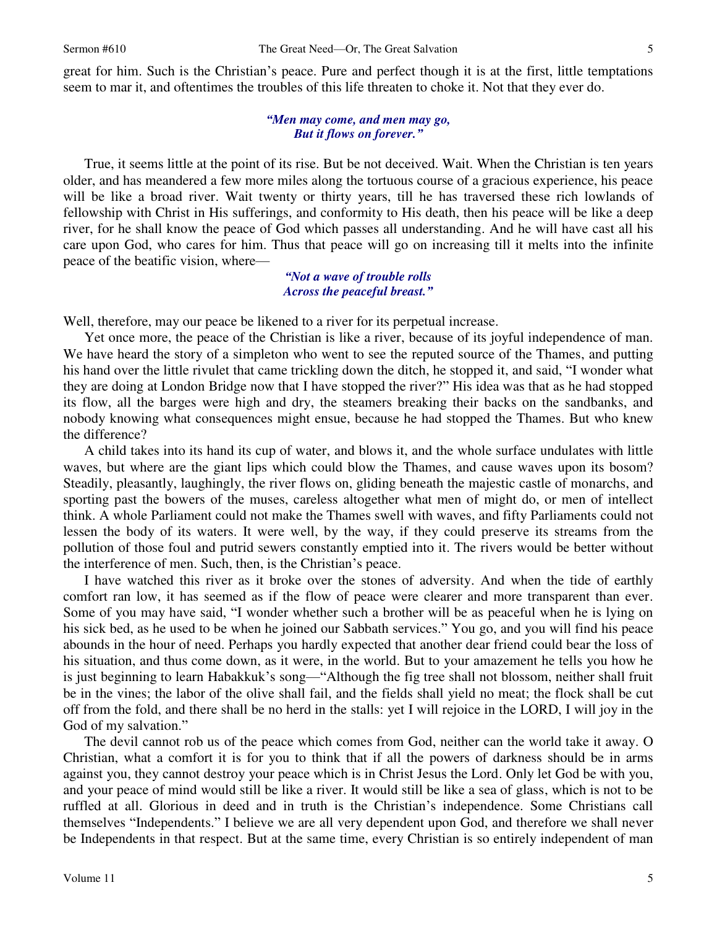great for him. Such is the Christian's peace. Pure and perfect though it is at the first, little temptations seem to mar it, and oftentimes the troubles of this life threaten to choke it. Not that they ever do.

## *"Men may come, and men may go, But it flows on forever."*

True, it seems little at the point of its rise. But be not deceived. Wait. When the Christian is ten years older, and has meandered a few more miles along the tortuous course of a gracious experience, his peace will be like a broad river. Wait twenty or thirty years, till he has traversed these rich lowlands of fellowship with Christ in His sufferings, and conformity to His death, then his peace will be like a deep river, for he shall know the peace of God which passes all understanding. And he will have cast all his care upon God, who cares for him. Thus that peace will go on increasing till it melts into the infinite peace of the beatific vision, where—

### *"Not a wave of trouble rolls Across the peaceful breast."*

Well, therefore, may our peace be likened to a river for its perpetual increase.

 Yet once more, the peace of the Christian is like a river, because of its joyful independence of man. We have heard the story of a simpleton who went to see the reputed source of the Thames, and putting his hand over the little rivulet that came trickling down the ditch, he stopped it, and said, "I wonder what they are doing at London Bridge now that I have stopped the river?" His idea was that as he had stopped its flow, all the barges were high and dry, the steamers breaking their backs on the sandbanks, and nobody knowing what consequences might ensue, because he had stopped the Thames. But who knew the difference?

 A child takes into its hand its cup of water, and blows it, and the whole surface undulates with little waves, but where are the giant lips which could blow the Thames, and cause waves upon its bosom? Steadily, pleasantly, laughingly, the river flows on, gliding beneath the majestic castle of monarchs, and sporting past the bowers of the muses, careless altogether what men of might do, or men of intellect think. A whole Parliament could not make the Thames swell with waves, and fifty Parliaments could not lessen the body of its waters. It were well, by the way, if they could preserve its streams from the pollution of those foul and putrid sewers constantly emptied into it. The rivers would be better without the interference of men. Such, then, is the Christian's peace.

I have watched this river as it broke over the stones of adversity. And when the tide of earthly comfort ran low, it has seemed as if the flow of peace were clearer and more transparent than ever. Some of you may have said, "I wonder whether such a brother will be as peaceful when he is lying on his sick bed, as he used to be when he joined our Sabbath services." You go, and you will find his peace abounds in the hour of need. Perhaps you hardly expected that another dear friend could bear the loss of his situation, and thus come down, as it were, in the world. But to your amazement he tells you how he is just beginning to learn Habakkuk's song—"Although the fig tree shall not blossom, neither shall fruit be in the vines; the labor of the olive shall fail, and the fields shall yield no meat; the flock shall be cut off from the fold, and there shall be no herd in the stalls: yet I will rejoice in the LORD, I will joy in the God of my salvation."

 The devil cannot rob us of the peace which comes from God, neither can the world take it away. O Christian, what a comfort it is for you to think that if all the powers of darkness should be in arms against you, they cannot destroy your peace which is in Christ Jesus the Lord. Only let God be with you, and your peace of mind would still be like a river. It would still be like a sea of glass, which is not to be ruffled at all. Glorious in deed and in truth is the Christian's independence. Some Christians call themselves "Independents." I believe we are all very dependent upon God, and therefore we shall never be Independents in that respect. But at the same time, every Christian is so entirely independent of man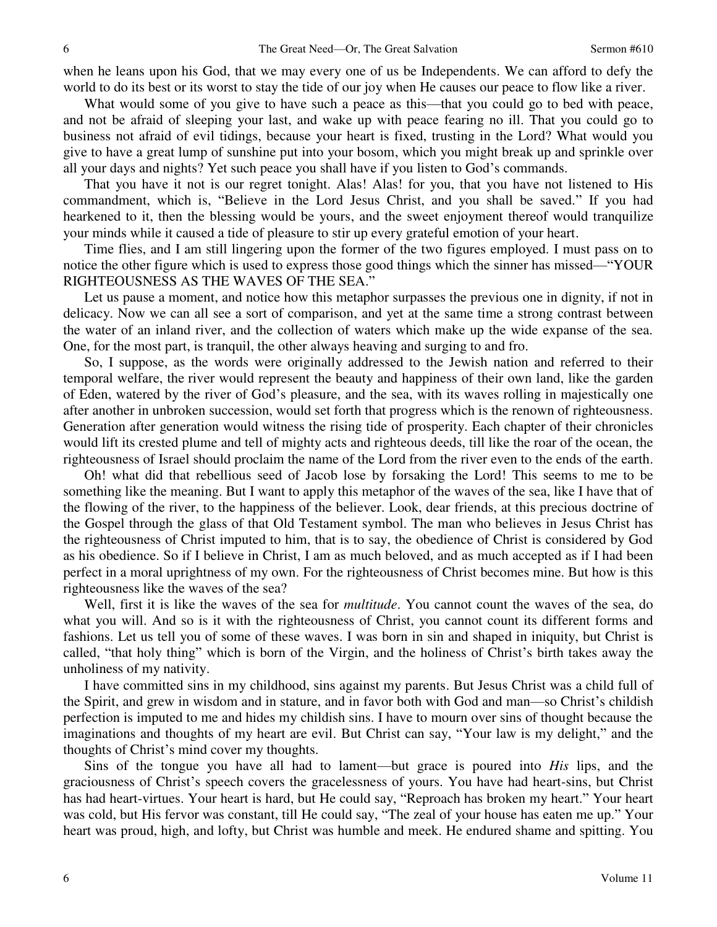when he leans upon his God, that we may every one of us be Independents. We can afford to defy the world to do its best or its worst to stay the tide of our joy when He causes our peace to flow like a river.

What would some of you give to have such a peace as this—that you could go to bed with peace, and not be afraid of sleeping your last, and wake up with peace fearing no ill. That you could go to business not afraid of evil tidings, because your heart is fixed, trusting in the Lord? What would you give to have a great lump of sunshine put into your bosom, which you might break up and sprinkle over all your days and nights? Yet such peace you shall have if you listen to God's commands.

That you have it not is our regret tonight. Alas! Alas! for you, that you have not listened to His commandment, which is, "Believe in the Lord Jesus Christ, and you shall be saved." If you had hearkened to it, then the blessing would be yours, and the sweet enjoyment thereof would tranquilize your minds while it caused a tide of pleasure to stir up every grateful emotion of your heart.

 Time flies, and I am still lingering upon the former of the two figures employed. I must pass on to notice the other figure which is used to express those good things which the sinner has missed—"YOUR RIGHTEOUSNESS AS THE WAVES OF THE SEA."

Let us pause a moment, and notice how this metaphor surpasses the previous one in dignity, if not in delicacy. Now we can all see a sort of comparison, and yet at the same time a strong contrast between the water of an inland river, and the collection of waters which make up the wide expanse of the sea. One, for the most part, is tranquil, the other always heaving and surging to and fro.

So, I suppose, as the words were originally addressed to the Jewish nation and referred to their temporal welfare, the river would represent the beauty and happiness of their own land, like the garden of Eden, watered by the river of God's pleasure, and the sea, with its waves rolling in majestically one after another in unbroken succession, would set forth that progress which is the renown of righteousness. Generation after generation would witness the rising tide of prosperity. Each chapter of their chronicles would lift its crested plume and tell of mighty acts and righteous deeds, till like the roar of the ocean, the righteousness of Israel should proclaim the name of the Lord from the river even to the ends of the earth.

Oh! what did that rebellious seed of Jacob lose by forsaking the Lord! This seems to me to be something like the meaning. But I want to apply this metaphor of the waves of the sea, like I have that of the flowing of the river, to the happiness of the believer. Look, dear friends, at this precious doctrine of the Gospel through the glass of that Old Testament symbol. The man who believes in Jesus Christ has the righteousness of Christ imputed to him, that is to say, the obedience of Christ is considered by God as his obedience. So if I believe in Christ, I am as much beloved, and as much accepted as if I had been perfect in a moral uprightness of my own. For the righteousness of Christ becomes mine. But how is this righteousness like the waves of the sea?

Well, first it is like the waves of the sea for *multitude*. You cannot count the waves of the sea, do what you will. And so is it with the righteousness of Christ, you cannot count its different forms and fashions. Let us tell you of some of these waves. I was born in sin and shaped in iniquity, but Christ is called, "that holy thing" which is born of the Virgin, and the holiness of Christ's birth takes away the unholiness of my nativity.

I have committed sins in my childhood, sins against my parents. But Jesus Christ was a child full of the Spirit, and grew in wisdom and in stature, and in favor both with God and man—so Christ's childish perfection is imputed to me and hides my childish sins. I have to mourn over sins of thought because the imaginations and thoughts of my heart are evil. But Christ can say, "Your law is my delight," and the thoughts of Christ's mind cover my thoughts.

Sins of the tongue you have all had to lament—but grace is poured into *His* lips, and the graciousness of Christ's speech covers the gracelessness of yours. You have had heart-sins, but Christ has had heart-virtues. Your heart is hard, but He could say, "Reproach has broken my heart." Your heart was cold, but His fervor was constant, till He could say, "The zeal of your house has eaten me up." Your heart was proud, high, and lofty, but Christ was humble and meek. He endured shame and spitting. You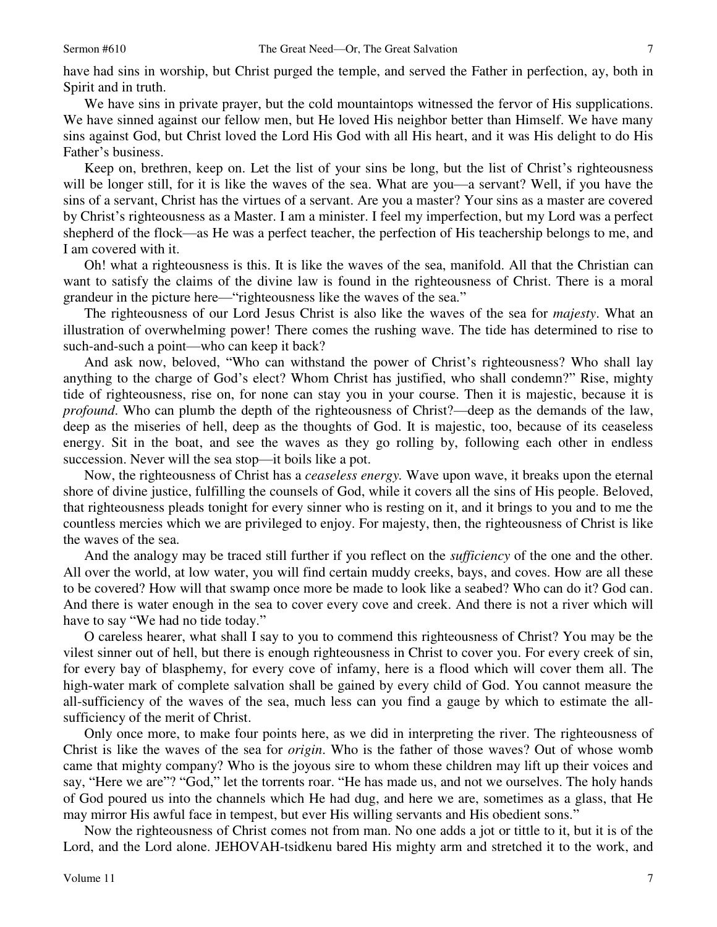7

have had sins in worship, but Christ purged the temple, and served the Father in perfection, ay, both in Spirit and in truth.

We have sins in private prayer, but the cold mountaintops witnessed the fervor of His supplications. We have sinned against our fellow men, but He loved His neighbor better than Himself. We have many sins against God, but Christ loved the Lord His God with all His heart, and it was His delight to do His Father's business.

Keep on, brethren, keep on. Let the list of your sins be long, but the list of Christ's righteousness will be longer still, for it is like the waves of the sea. What are you—a servant? Well, if you have the sins of a servant, Christ has the virtues of a servant. Are you a master? Your sins as a master are covered by Christ's righteousness as a Master. I am a minister. I feel my imperfection, but my Lord was a perfect shepherd of the flock—as He was a perfect teacher, the perfection of His teachership belongs to me, and I am covered with it.

Oh! what a righteousness is this. It is like the waves of the sea, manifold. All that the Christian can want to satisfy the claims of the divine law is found in the righteousness of Christ. There is a moral grandeur in the picture here—"righteousness like the waves of the sea."

The righteousness of our Lord Jesus Christ is also like the waves of the sea for *majesty*. What an illustration of overwhelming power! There comes the rushing wave. The tide has determined to rise to such-and-such a point—who can keep it back?

And ask now, beloved, "Who can withstand the power of Christ's righteousness? Who shall lay anything to the charge of God's elect? Whom Christ has justified, who shall condemn?" Rise, mighty tide of righteousness, rise on, for none can stay you in your course. Then it is majestic, because it is *profound*. Who can plumb the depth of the righteousness of Christ?—deep as the demands of the law, deep as the miseries of hell, deep as the thoughts of God. It is majestic, too, because of its ceaseless energy. Sit in the boat, and see the waves as they go rolling by, following each other in endless succession. Never will the sea stop—it boils like a pot.

Now, the righteousness of Christ has a *ceaseless energy.* Wave upon wave, it breaks upon the eternal shore of divine justice, fulfilling the counsels of God, while it covers all the sins of His people. Beloved, that righteousness pleads tonight for every sinner who is resting on it, and it brings to you and to me the countless mercies which we are privileged to enjoy. For majesty, then, the righteousness of Christ is like the waves of the sea.

And the analogy may be traced still further if you reflect on the *sufficiency* of the one and the other. All over the world, at low water, you will find certain muddy creeks, bays, and coves. How are all these to be covered? How will that swamp once more be made to look like a seabed? Who can do it? God can. And there is water enough in the sea to cover every cove and creek. And there is not a river which will have to say "We had no tide today."

 O careless hearer, what shall I say to you to commend this righteousness of Christ? You may be the vilest sinner out of hell, but there is enough righteousness in Christ to cover you. For every creek of sin, for every bay of blasphemy, for every cove of infamy, here is a flood which will cover them all. The high-water mark of complete salvation shall be gained by every child of God. You cannot measure the all-sufficiency of the waves of the sea, much less can you find a gauge by which to estimate the allsufficiency of the merit of Christ.

 Only once more, to make four points here, as we did in interpreting the river. The righteousness of Christ is like the waves of the sea for *origin*. Who is the father of those waves? Out of whose womb came that mighty company? Who is the joyous sire to whom these children may lift up their voices and say, "Here we are"? "God," let the torrents roar. "He has made us, and not we ourselves. The holy hands of God poured us into the channels which He had dug, and here we are, sometimes as a glass, that He may mirror His awful face in tempest, but ever His willing servants and His obedient sons."

 Now the righteousness of Christ comes not from man. No one adds a jot or tittle to it, but it is of the Lord, and the Lord alone. JEHOVAH-tsidkenu bared His mighty arm and stretched it to the work, and